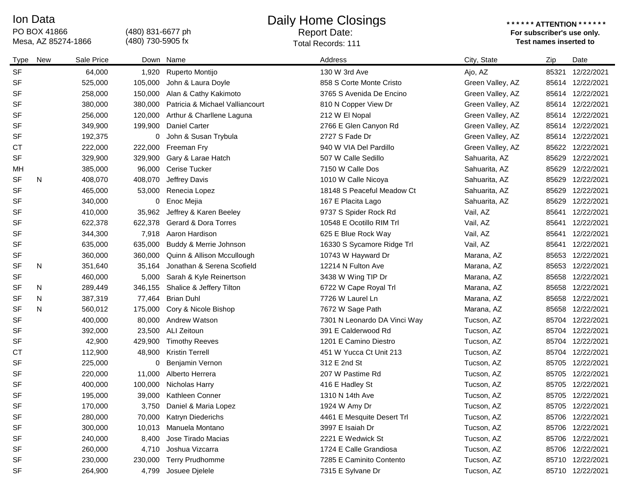## Ion Data

PO BOX 41866<br>Mesa, AZ 85274-1866

(480) 831-6677 ph (480) 730-5905 fx

## Daily Home Closings

Report Date:

## **\* \* \* \* \* \* ATTENTION \* \* \* \* \* \* For subscriber's use only.**  Mesa, AZ 85274-1866 **Test names inserted to**  Total Records: 111

| Type      | New | Sale Price |         | Down Name                       | Address                      | City, State      | Zip   | Date             |
|-----------|-----|------------|---------|---------------------------------|------------------------------|------------------|-------|------------------|
| <b>SF</b> |     | 64,000     | 1,920   | Ruperto Montijo                 | 130 W 3rd Ave                | Ajo, AZ          | 85321 | 12/22/2021       |
| <b>SF</b> |     | 525,000    | 105,000 | John & Laura Doyle              | 858 S Corte Monte Cristo     | Green Valley, AZ |       | 85614 12/22/2021 |
| <b>SF</b> |     | 258,000    | 150,000 | Alan & Cathy Kakimoto           | 3765 S Avenida De Encino     | Green Valley, AZ |       | 85614 12/22/2021 |
| <b>SF</b> |     | 380,000    | 380,000 | Patricia & Michael Valliancourt | 810 N Copper View Dr         | Green Valley, AZ |       | 85614 12/22/2021 |
| <b>SF</b> |     | 256,000    | 120,000 | Arthur & Charllene Laguna       | 212 W El Nopal               | Green Valley, AZ |       | 85614 12/22/2021 |
| <b>SF</b> |     | 349,900    |         | 199,900 Daniel Carter           | 2766 E Glen Canyon Rd        | Green Valley, AZ |       | 85614 12/22/2021 |
| <b>SF</b> |     | 192,375    |         | 0 John & Susan Trybula          | 2727 S Fade Dr               | Green Valley, AZ |       | 85614 12/22/2021 |
| <b>CT</b> |     | 222,000    |         | 222,000 Freeman Fry             | 940 W VIA Del Pardillo       | Green Valley, AZ |       | 85622 12/22/2021 |
| <b>SF</b> |     | 329,900    | 329,900 | Gary & Larae Hatch              | 507 W Calle Sedillo          | Sahuarita, AZ    | 85629 | 12/22/2021       |
| MH        |     | 385,000    | 96,000  | Cerise Tucker                   | 7150 W Calle Dos             | Sahuarita, AZ    | 85629 | 12/22/2021       |
| <b>SF</b> | N   | 408,070    | 408,070 | Jeffrey Davis                   | 1010 W Calle Nicoya          | Sahuarita, AZ    | 85629 | 12/22/2021       |
| <b>SF</b> |     | 465,000    | 53,000  | Renecia Lopez                   | 18148 S Peaceful Meadow Ct   | Sahuarita, AZ    | 85629 | 12/22/2021       |
| <b>SF</b> |     | 340,000    | 0       | Enoc Mejia                      | 167 E Placita Lago           | Sahuarita, AZ    | 85629 | 12/22/2021       |
| <b>SF</b> |     | 410,000    | 35,962  | Jeffrey & Karen Beeley          | 9737 S Spider Rock Rd        | Vail, AZ         |       | 85641 12/22/2021 |
| <b>SF</b> |     | 622,378    | 622,378 | Gerard & Dora Torres            | 10548 E Ocotillo RIM Trl     | Vail, AZ         |       | 85641 12/22/2021 |
| <b>SF</b> |     | 344,300    | 7,918   | Aaron Hardison                  | 625 E Blue Rock Way          | Vail, AZ         |       | 85641 12/22/2021 |
| <b>SF</b> |     | 635,000    | 635,000 | Buddy & Merrie Johnson          | 16330 S Sycamore Ridge Trl   | Vail, AZ         |       | 85641 12/22/2021 |
| <b>SF</b> |     | 360,000    | 360,000 | Quinn & Allison Mccullough      | 10743 W Hayward Dr           | Marana, AZ       |       | 85653 12/22/2021 |
| <b>SF</b> | N   | 351,640    | 35,164  | Jonathan & Serena Scofield      | 12214 N Fulton Ave           | Marana, AZ       |       | 85653 12/22/2021 |
| <b>SF</b> |     | 460,000    | 5,000   | Sarah & Kyle Reinertson         | 3438 W Wing TIP Dr           | Marana, AZ       |       | 85658 12/22/2021 |
| <b>SF</b> | N   | 289,449    | 346,155 | Shalice & Jeffery Tilton        | 6722 W Cape Royal Trl        | Marana, AZ       |       | 85658 12/22/2021 |
| <b>SF</b> | N   | 387,319    | 77,464  | <b>Brian Duhl</b>               | 7726 W Laurel Ln             | Marana, AZ       |       | 85658 12/22/2021 |
| <b>SF</b> | N   | 560,012    | 175,000 | Cory & Nicole Bishop            | 7672 W Sage Path             | Marana, AZ       |       | 85658 12/22/2021 |
| <b>SF</b> |     | 400,000    | 80,000  | Andrew Watson                   | 7301 N Leonardo DA Vinci Way | Tucson, AZ       |       | 85704 12/22/2021 |
| <b>SF</b> |     | 392,000    | 23,500  | ALI Zeitoun                     | 391 E Calderwood Rd          | Tucson, AZ       |       | 85704 12/22/2021 |
| <b>SF</b> |     | 42,900     | 429,900 | <b>Timothy Reeves</b>           | 1201 E Camino Diestro        | Tucson, AZ       |       | 85704 12/22/2021 |
| <b>CT</b> |     | 112,900    | 48,900  | <b>Kristin Terrell</b>          | 451 W Yucca Ct Unit 213      | Tucson, AZ       |       | 85704 12/22/2021 |
| <b>SF</b> |     | 225,000    | 0       | Benjamin Vernon                 | 312 E 2nd St                 | Tucson, AZ       |       | 85705 12/22/2021 |
| <b>SF</b> |     | 220,000    | 11,000  | Alberto Herrera                 | 207 W Pastime Rd             | Tucson, AZ       |       | 85705 12/22/2021 |
| <b>SF</b> |     | 400,000    | 100,000 | Nicholas Harry                  | 416 E Hadley St              | Tucson, AZ       |       | 85705 12/22/2021 |
| <b>SF</b> |     | 195,000    | 39,000  | Kathleen Conner                 | 1310 N 14th Ave              | Tucson, AZ       | 85705 | 12/22/2021       |
| <b>SF</b> |     | 170,000    | 3,750   | Daniel & Maria Lopez            | 1924 W Amy Dr                | Tucson, AZ       |       | 85705 12/22/2021 |
| SF        |     | 280,000    |         | 70,000 Katryn Diederichs        | 4461 E Mesquite Desert Trl   | Tucson, AZ       |       | 85706 12/22/2021 |
| SF        |     | 300,000    | 10,013  | Manuela Montano                 | 3997 E Isaiah Dr             | Tucson, AZ       |       | 85706 12/22/2021 |
| SF        |     | 240,000    | 8,400   | Jose Tirado Macias              | 2221 E Wedwick St            | Tucson, AZ       |       | 85706 12/22/2021 |
| <b>SF</b> |     | 260,000    | 4,710   | Joshua Vizcarra                 | 1724 E Calle Grandiosa       | Tucson, AZ       |       | 85706 12/22/2021 |
| <b>SF</b> |     | 230,000    | 230,000 | <b>Terry Prudhomme</b>          | 7285 E Caminito Contento     | Tucson, AZ       |       | 85710 12/22/2021 |
| <b>SF</b> |     | 264,900    |         | 4,799 Josuee Djelele            | 7315 E Sylvane Dr            | Tucson, AZ       |       | 85710 12/22/2021 |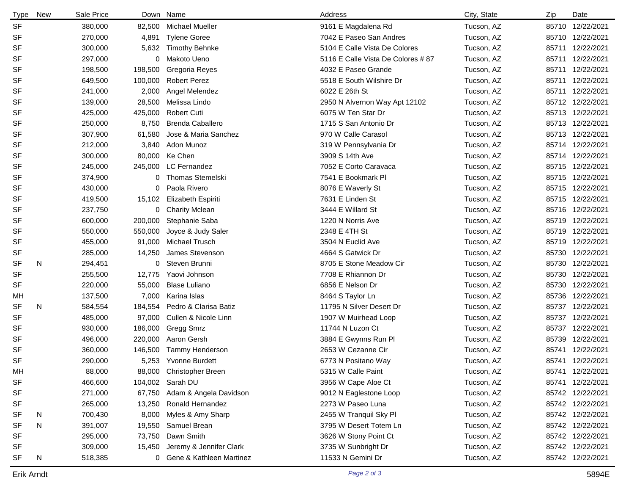| <b>Type</b> | New | Sale Price |         | Down Name                | Address                           | City, State | Zip   | Date             |
|-------------|-----|------------|---------|--------------------------|-----------------------------------|-------------|-------|------------------|
| <b>SF</b>   |     | 380,000    | 82,500  | <b>Michael Mueller</b>   | 9161 E Magdalena Rd               | Tucson, AZ  |       | 85710 12/22/2021 |
| <b>SF</b>   |     | 270,000    | 4,891   | <b>Tylene Goree</b>      | 7042 E Paseo San Andres           | Tucson, AZ  |       | 85710 12/22/2021 |
| <b>SF</b>   |     | 300,000    | 5,632   | <b>Timothy Behnke</b>    | 5104 E Calle Vista De Colores     | Tucson, AZ  |       | 85711 12/22/2021 |
| <b>SF</b>   |     | 297,000    | 0       | Makoto Ueno              | 5116 E Calle Vista De Colores #87 | Tucson, AZ  | 85711 | 12/22/2021       |
| <b>SF</b>   |     | 198,500    | 198,500 | Gregoria Reyes           | 4032 E Paseo Grande               | Tucson, AZ  |       | 85711 12/22/2021 |
| <b>SF</b>   |     | 649,500    | 100,000 | <b>Robert Perez</b>      | 5518 E South Wilshire Dr          | Tucson, AZ  | 85711 | 12/22/2021       |
| <b>SF</b>   |     | 241,000    | 2,000   | Angel Melendez           | 6022 E 26th St                    | Tucson, AZ  |       | 85711 12/22/2021 |
| <b>SF</b>   |     | 139,000    | 28,500  | Melissa Lindo            | 2950 N Alvernon Way Apt 12102     | Tucson, AZ  |       | 85712 12/22/2021 |
| <b>SF</b>   |     | 425,000    | 425,000 | <b>Robert Cuti</b>       | 6075 W Ten Star Dr                | Tucson, AZ  |       | 85713 12/22/2021 |
| <b>SF</b>   |     | 250,000    | 8,750   | <b>Brenda Caballero</b>  | 1715 S San Antonio Dr             | Tucson, AZ  |       | 85713 12/22/2021 |
| <b>SF</b>   |     | 307,900    | 61,580  | Jose & Maria Sanchez     | 970 W Calle Carasol               | Tucson, AZ  |       | 85713 12/22/2021 |
| <b>SF</b>   |     | 212,000    | 3,840   | Adon Munoz               | 319 W Pennsylvania Dr             | Tucson, AZ  |       | 85714 12/22/2021 |
| <b>SF</b>   |     | 300,000    | 80,000  | Ke Chen                  | 3909 S 14th Ave                   | Tucson, AZ  |       | 85714 12/22/2021 |
| <b>SF</b>   |     | 245,000    | 245,000 | LC Fernandez             | 7052 E Corto Caravaca             | Tucson, AZ  | 85715 | 12/22/2021       |
| SF          |     | 374,900    | 0       | <b>Thomas Stemelski</b>  | 7541 E Bookmark Pl                | Tucson, AZ  |       | 85715 12/22/2021 |
| <b>SF</b>   |     | 430,000    | 0       | Paola Rivero             | 8076 E Waverly St                 | Tucson, AZ  | 85715 | 12/22/2021       |
| <b>SF</b>   |     | 419,500    | 15,102  | Elizabeth Espiriti       | 7631 E Linden St                  | Tucson, AZ  |       | 85715 12/22/2021 |
| <b>SF</b>   |     | 237,750    | 0       | <b>Charity Mclean</b>    | 3444 E Willard St                 | Tucson, AZ  |       | 85716 12/22/2021 |
| SF          |     | 600,000    | 200,000 | Stephanie Saba           | 1220 N Norris Ave                 | Tucson, AZ  |       | 85719 12/22/2021 |
| <b>SF</b>   |     | 550,000    | 550,000 | Joyce & Judy Saler       | 2348 E 4TH St                     | Tucson, AZ  |       | 85719 12/22/2021 |
| SF          |     | 455,000    | 91,000  | Michael Trusch           | 3504 N Euclid Ave                 | Tucson, AZ  |       | 85719 12/22/2021 |
| SF          |     | 285,000    | 14,250  | James Stevenson          | 4664 S Gatwick Dr                 | Tucson, AZ  | 85730 | 12/22/2021       |
| <b>SF</b>   | N   | 294,451    | 0       | Steven Brunni            | 8705 E Stone Meadow Cir           | Tucson, AZ  |       | 85730 12/22/2021 |
| <b>SF</b>   |     | 255,500    | 12,775  | Yaovi Johnson            | 7708 E Rhiannon Dr                | Tucson, AZ  | 85730 | 12/22/2021       |
| <b>SF</b>   |     | 220,000    | 55,000  | <b>Blase Luliano</b>     | 6856 E Nelson Dr                  | Tucson, AZ  |       | 85730 12/22/2021 |
| MН          |     | 137,500    | 7,000   | Karina Islas             | 8464 S Taylor Ln                  | Tucson, AZ  | 85736 | 12/22/2021       |
| <b>SF</b>   | N   | 584,554    | 184,554 | Pedro & Clarisa Batiz    | 11795 N Silver Desert Dr          | Tucson, AZ  |       | 85737 12/22/2021 |
| <b>SF</b>   |     | 485,000    | 97,000  | Cullen & Nicole Linn     | 1907 W Muirhead Loop              | Tucson, AZ  |       | 85737 12/22/2021 |
| <b>SF</b>   |     | 930,000    | 186,000 | Gregg Smrz               | 11744 N Luzon Ct                  | Tucson, AZ  | 85737 | 12/22/2021       |
| <b>SF</b>   |     | 496,000    | 220,000 | Aaron Gersh              | 3884 E Gwynns Run Pl              | Tucson, AZ  |       | 85739 12/22/2021 |
| <b>SF</b>   |     | 360,000    | 146,500 | Tammy Henderson          | 2653 W Cezanne Cir                | Tucson, AZ  |       | 85741 12/22/2021 |
| <b>SF</b>   |     | 290,000    | 5,253   | <b>Yvonne Burdett</b>    | 6773 N Positano Way               | Tucson, AZ  |       | 85741 12/22/2021 |
| MН          |     | 88,000     | 88,000  | Christopher Breen        | 5315 W Calle Paint                | Tucson, AZ  |       | 85741 12/22/2021 |
| SF          |     | 466,600    |         | 104,002 Sarah DU         | 3956 W Cape Aloe Ct               | Tucson, AZ  |       | 85741 12/22/2021 |
| SF          |     | 271,000    | 67,750  | Adam & Angela Davidson   | 9012 N Eaglestone Loop            | Tucson, AZ  |       | 85742 12/22/2021 |
| SF          |     | 265,000    | 13,250  | Ronald Hernandez         | 2273 W Paseo Luna                 | Tucson, AZ  |       | 85742 12/22/2021 |
| SF          | N   | 700,430    | 8,000   | Myles & Amy Sharp        | 2455 W Tranquil Sky Pl            | Tucson, AZ  |       | 85742 12/22/2021 |
| <b>SF</b>   | N   | 391,007    | 19,550  | Samuel Brean             | 3795 W Desert Totem Ln            | Tucson, AZ  |       | 85742 12/22/2021 |
| <b>SF</b>   |     | 295,000    | 73,750  | Dawn Smith               | 3626 W Stony Point Ct             | Tucson, AZ  |       | 85742 12/22/2021 |
| SF          |     | 309,000    | 15,450  | Jeremy & Jennifer Clark  | 3735 W Sunbright Dr               | Tucson, AZ  |       | 85742 12/22/2021 |
| SF          | N   | 518,385    | 0       | Gene & Kathleen Martinez | 11533 N Gemini Dr                 | Tucson, AZ  |       | 85742 12/22/2021 |